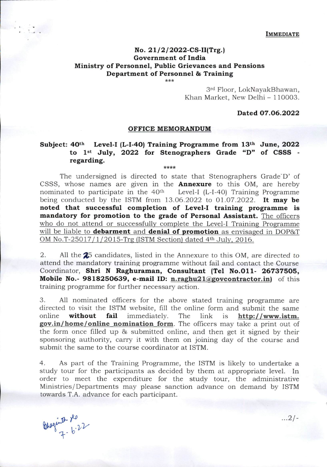**IMMEDIATE** 

# No. 21/2/2022-CS-II(Trg.) Government of India Ministry of Personnel, Public Grievances and Pensions Department of Personnel & Training

\*\*\*

3<sup>rd</sup> Floor, LokNayakBhawan, Khan Market, New Delhi - 110003.

## Dated 07.06.2022

#### OFFICE MEMORANDUM

## Subject:  $40^{\text{th}}$  Level-I (L-I-40) Training Programme from  $13^{\text{th}}$  June, 2022 to 1<sup>st</sup> July, 2022 for Stenographers Grade "D" of CSSS regarding.  $+ + + +$

The undersigned is directed to state that Stenographers Grade'D' of CSSS, whose names are given in the **Annexure** to this OM, are hereby nominated to participate in the  $40<sup>th</sup>$  Level-I (L-I-40) Training Programme Level-I (L-I-40) Training Programme being conducted by the ISTM from  $13.06.2022$  to  $01.07.2022$ . It may be noted that successful completion of Level-I training programme is mandatory for promotion to the grade of Personal Assistant. The officers who do not attend or successfully complete the Level-I Training Programme will be liable to **debarment** and **denial of promotion** as envisaged in DOP&T OM No.T-25017/1/2015-Trg (ISTM Section) dated  $4<sup>th</sup>$  July, 2016.

2. All the 25 candidates, listed in the Annexure to this OM, are directed to attend the mandatory training programme without fail and contact the Course Coordinator, Shri N Raghuraman, Consultant (Tel No.011- 26737505, Mobile No.- 9818250639, e-mail ID: n.raghu21@govcontractor.in) of this training programme for further necessary action.

3. All nominated officers for the above stated training programme are directed to visit the ISTM website, fill the online form and submit the same online without fail immediately. The link is  $http://www.istm.$ gov.in/home/online nomination form. The officers may take a print out of the form once filled up & submitted online, and then get it signed by their sponsoring authority, carry it with them on joining day of the course and submit the same to the course coordinator at ISTM.

4. As part of the Training Programme, the ISTM is likely to undertake a study tour for the participants as decided by them at appropriate level. In order to meet the expenditure for the study tour, the administrative Ministries/Departments may please sanction advance on demand by ISTM towards T.A. advance for each participant.

 $\frac{2108660}{7-6.22}$ 

 $...2/-$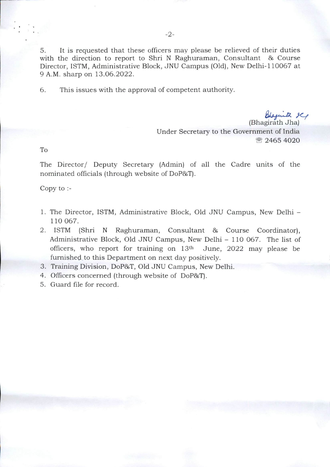5. It is requested that these officers may please be relieved of their duties with the direction to report to Shri N Raghuraman, Consultant & Course Director, ISTM, Administrative Block, JNU Campus (Old), New Delhi-110057 at 9 A.M. sharp on 13.06.2022.

6. This issues with the approval of competent authority.

Chaquith Il (Bhagirath Jha) Under Secretary to the Government of India 需 2465 4020

To

The Director/ Deputy Secretary (Admin) of all the Cadre units of the nominated officials (through website of DoPSsT).

Copy to

- 1. The Director, ISTM, Administrative Block, Old JNU Campus, New Delhi 110 067.
- 2. ISTM (Shri N Raghuraman, Consultant & Course Coordinator), Administrative Block, Old JNU Campus, New Delhi - 110 067. The list of officers, who report for training on  $13<sup>th</sup>$  June, 2022 may please be furnished to this Department on next day positively.
- 3. Training Division, DoP&T, Old JNU Campus, New Delhi.
- 4. Officers concerned (through website of DoP&T).
- 5. Guard file for record.